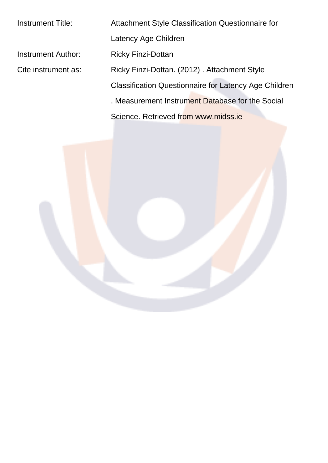Instrument Title: Attachment Style Classification Questionnaire for Latency Age Children Instrument Author: Ricky Finzi-Dottan Cite instrument as: Ricky Finzi-Dottan. (2012) . Attachment Style Classification Questionnaire for Latency Age Children . Measurement Instrument Database for the Social Science. Retrieved from www.midss.ie

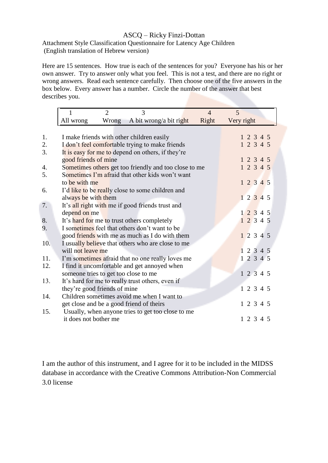## ASCQ – Ricky Finzi-Dottan

Attachment Style Classification Questionnaire for Latency Age Children (English translation of Hebrew version)

Here are 15 sentences. How true is each of the sentences for you? Everyone has his or her own answer. Try to answer only what you feel. This is not a test, and there are no right or wrong answers. Read each sentence carefully. Then choose one of the five answers in the box below. Every answer has a number. Circle the number of the answer that best describes you.

|     | 1                                                 | $\overline{2}$ | 3                                                     | $\overline{4}$ | 5          |  |
|-----|---------------------------------------------------|----------------|-------------------------------------------------------|----------------|------------|--|
|     | All wrong                                         | Wrong          | A bit wrong/a bit right                               | Right          | Very right |  |
|     |                                                   |                |                                                       |                |            |  |
| 1.  |                                                   |                | I make friends with other children easily             |                | 1 2 3 4 5  |  |
| 2.  |                                                   |                | I don't feel comfortable trying to make friends       |                | 1 2 3 4 5  |  |
| 3.  | It is easy for me to depend on others, if they're |                |                                                       |                |            |  |
|     | good friends of mine                              |                |                                                       |                | 12345      |  |
| 4.  |                                                   |                | Sometimes others get too friendly and too close to me |                | 1 2 3 4 5  |  |
| 5.  |                                                   |                | Sometimes I'm afraid that other kids won't want       |                |            |  |
|     | to be with me                                     |                |                                                       |                | 12345      |  |
| 6.  |                                                   |                | I'd like to be really close to some children and      |                |            |  |
|     | always be with them                               |                |                                                       |                | 1 2 3 4 5  |  |
| 7.  | It's all right with me if good friends trust and  |                |                                                       |                |            |  |
|     | depend on me                                      |                |                                                       |                | 12345      |  |
| 8.  |                                                   |                | It's hard for me to trust others completely           |                | 12345      |  |
| 9.  | I sometimes feel that others don't want to be     |                |                                                       |                |            |  |
|     |                                                   |                | good friends with me as much as I do with them        |                | 12345      |  |
| 10. |                                                   |                | I usually believe that others who are close to me     |                |            |  |
|     | will not leave me                                 |                |                                                       |                | 1 2 3 4 5  |  |
| 11. |                                                   |                | I'm sometimes afraid that no one really loves me      |                | 12345      |  |
| 12. |                                                   |                | I find it uncomfortable and get annoyed when          |                |            |  |
|     |                                                   |                | someone tries to get too close to me                  |                | 12345      |  |
| 13. |                                                   |                | It's hard for me to really trust others, even if      |                |            |  |
|     | they're good friends of mine                      |                |                                                       |                | 1 2 3 4 5  |  |
| 14. |                                                   |                | Children sometimes avoid me when I want to            |                |            |  |
|     |                                                   |                | get close and be a good friend of theirs              |                | 1 2 3 4 5  |  |
| 15. |                                                   |                | Usually, when anyone tries to get too close to me     |                |            |  |
|     | it does not bother me                             |                |                                                       |                | 1 2 3 4 5  |  |
|     |                                                   |                |                                                       |                |            |  |

I am the author of this instrument, and I agree for it to be included in the MIDSS database in accordance with the Creative Commons Attribution-Non Commercial 3.0 license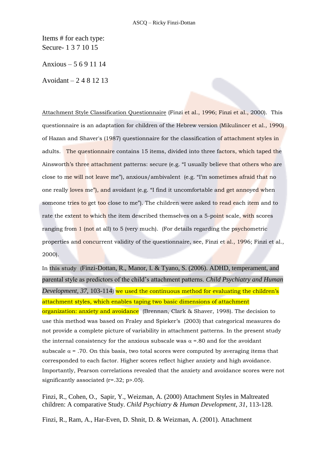Items # for each type: Secure- 1 3 7 10 15

Anxious – 5 6 9 11 14

Avoidant – 2 4 8 12 13

Attachment Style Classification Questionnaire (Finzi et al., 1996; Finzi et al., 2000). This questionnaire is an adaptation for children of the Hebrew version (Mikulincer et al., 1990) of Hazan and Shaver's (1987) questionnaire for the classification of attachment styles in adults. The questionnaire contains 15 items, divided into three factors, which taped the Ainsworth's three attachment patterns: secure (e.g. "I usually believe that others who are close to me will not leave me"), anxious/ambivalent (e.g. "I'm sometimes afraid that no one really loves me"), and avoidant (e.g. "I find it uncomfortable and get annoyed when someone tries to get too close to me"). The children were asked to read each item and to rate the extent to which the item described themselves on a 5-point scale, with scores ranging from 1 (not at all) to 5 (very much). (For details regarding the psychometric properties and concurrent validity of the questionnaire, see, Finzi et al., 1996; Finzi et al., 2000).

In this study (Finzi-Dottan, R., Manor, I. & Tyano, S. (2006). ADHD, temperament, and parental style as predictors of the child's attachment patterns. *Child Psychiatry and Human Development, 37*, 103-114) we used the continuous method for evaluating the children's attachment styles, which enables taping two basic dimensions of attachment organization: anxiety and avoidance (Brennan, Clark & Shaver, 1998). The decision to use this method was based on Fraley and Spieker's (2003) that categorical measures do not provide a complete picture of variability in attachment patterns. In the present study the internal consistency for the anxious subscale was  $\alpha = 0.80$  and for the avoidant subscale  $\alpha$  = .70. On this basis, two total scores were computed by averaging items that corresponded to each factor. Higher scores reflect higher anxiety and high avoidance. Importantly, Pearson correlations revealed that the anxiety and avoidance scores were not significantly associated (r=.32; p>.05).

Finzi, R., Cohen, O., Sapir, Y., Weizman, A. (2000) Attachment Styles in Maltreated children: A comparative Study. *Child Psychiatry & Human Development, 31*, 113-128.

Finzi, R., Ram, A., Har-Even, D. Shnit, D. & Weizman, A. (2001). Attachment